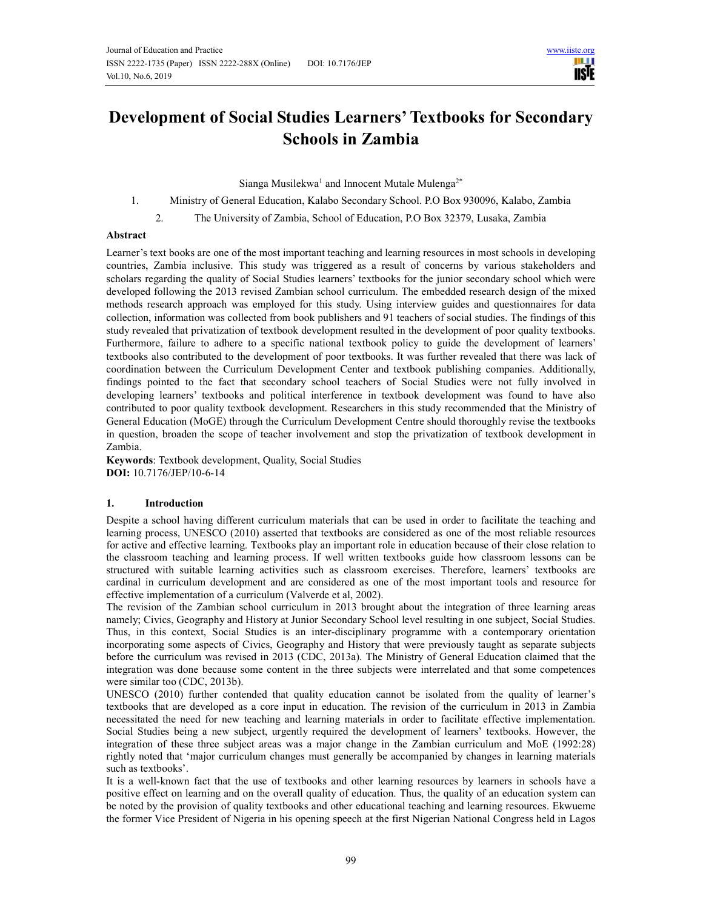

# **Development of Social Studies Learners' Textbooks for Secondary Schools in Zambia**

Sianga Musilekwa<sup>1</sup> and Innocent Mutale Mulenga<sup>2\*</sup>

## 1. Ministry of General Education, Kalabo Secondary School. P.O Box 930096, Kalabo, Zambia

2. The University of Zambia, School of Education, P.O Box 32379, Lusaka, Zambia

## **Abstract**

Learner's text books are one of the most important teaching and learning resources in most schools in developing countries, Zambia inclusive. This study was triggered as a result of concerns by various stakeholders and scholars regarding the quality of Social Studies learners' textbooks for the junior secondary school which were developed following the 2013 revised Zambian school curriculum. The embedded research design of the mixed methods research approach was employed for this study. Using interview guides and questionnaires for data collection, information was collected from book publishers and 91 teachers of social studies. The findings of this study revealed that privatization of textbook development resulted in the development of poor quality textbooks. Furthermore, failure to adhere to a specific national textbook policy to guide the development of learners' textbooks also contributed to the development of poor textbooks. It was further revealed that there was lack of coordination between the Curriculum Development Center and textbook publishing companies. Additionally, findings pointed to the fact that secondary school teachers of Social Studies were not fully involved in developing learners' textbooks and political interference in textbook development was found to have also contributed to poor quality textbook development. Researchers in this study recommended that the Ministry of General Education (MoGE) through the Curriculum Development Centre should thoroughly revise the textbooks in question, broaden the scope of teacher involvement and stop the privatization of textbook development in Zambia.

**Keywords**: Textbook development, Quality, Social Studies **DOI:** 10.7176/JEP/10-6-14

# **1. Introduction**

Despite a school having different curriculum materials that can be used in order to facilitate the teaching and learning process, UNESCO (2010) asserted that textbooks are considered as one of the most reliable resources for active and effective learning. Textbooks play an important role in education because of their close relation to the classroom teaching and learning process. If well written textbooks guide how classroom lessons can be structured with suitable learning activities such as classroom exercises. Therefore, learners' textbooks are cardinal in curriculum development and are considered as one of the most important tools and resource for effective implementation of a curriculum (Valverde et al, 2002).

The revision of the Zambian school curriculum in 2013 brought about the integration of three learning areas namely; Civics, Geography and History at Junior Secondary School level resulting in one subject, Social Studies. Thus, in this context, Social Studies is an inter-disciplinary programme with a contemporary orientation incorporating some aspects of Civics, Geography and History that were previously taught as separate subjects before the curriculum was revised in 2013 (CDC, 2013a). The Ministry of General Education claimed that the integration was done because some content in the three subjects were interrelated and that some competences were similar too (CDC, 2013b).

UNESCO (2010) further contended that quality education cannot be isolated from the quality of learner's textbooks that are developed as a core input in education. The revision of the curriculum in 2013 in Zambia necessitated the need for new teaching and learning materials in order to facilitate effective implementation. Social Studies being a new subject, urgently required the development of learners' textbooks. However, the integration of these three subject areas was a major change in the Zambian curriculum and MoE (1992:28) rightly noted that 'major curriculum changes must generally be accompanied by changes in learning materials such as textbooks'.

It is a well-known fact that the use of textbooks and other learning resources by learners in schools have a positive effect on learning and on the overall quality of education. Thus, the quality of an education system can be noted by the provision of quality textbooks and other educational teaching and learning resources. Ekwueme the former Vice President of Nigeria in his opening speech at the first Nigerian National Congress held in Lagos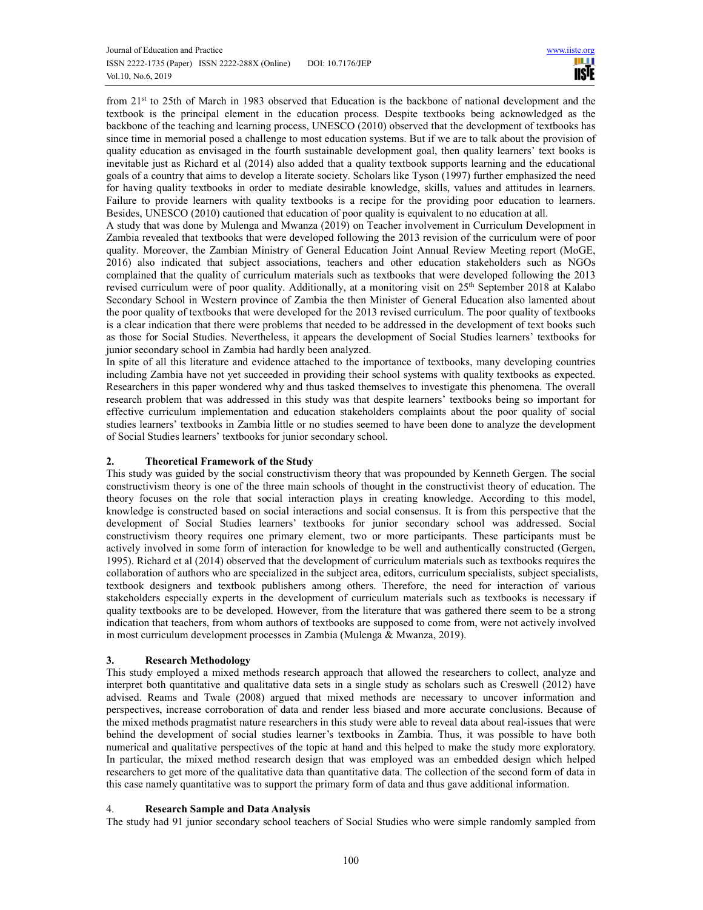from 21st to 25th of March in 1983 observed that Education is the backbone of national development and the textbook is the principal element in the education process. Despite textbooks being acknowledged as the backbone of the teaching and learning process, UNESCO (2010) observed that the development of textbooks has since time in memorial posed a challenge to most education systems. But if we are to talk about the provision of quality education as envisaged in the fourth sustainable development goal, then quality learners' text books is inevitable just as Richard et al (2014) also added that a quality textbook supports learning and the educational goals of a country that aims to develop a literate society. Scholars like Tyson (1997) further emphasized the need for having quality textbooks in order to mediate desirable knowledge, skills, values and attitudes in learners. Failure to provide learners with quality textbooks is a recipe for the providing poor education to learners. Besides, UNESCO (2010) cautioned that education of poor quality is equivalent to no education at all.

A study that was done by Mulenga and Mwanza (2019) on Teacher involvement in Curriculum Development in Zambia revealed that textbooks that were developed following the 2013 revision of the curriculum were of poor quality. Moreover, the Zambian Ministry of General Education Joint Annual Review Meeting report (MoGE, 2016) also indicated that subject associations, teachers and other education stakeholders such as NGOs complained that the quality of curriculum materials such as textbooks that were developed following the 2013 revised curriculum were of poor quality. Additionally, at a monitoring visit on 25<sup>th</sup> September 2018 at Kalabo Secondary School in Western province of Zambia the then Minister of General Education also lamented about the poor quality of textbooks that were developed for the 2013 revised curriculum. The poor quality of textbooks is a clear indication that there were problems that needed to be addressed in the development of text books such as those for Social Studies. Nevertheless, it appears the development of Social Studies learners' textbooks for junior secondary school in Zambia had hardly been analyzed.

In spite of all this literature and evidence attached to the importance of textbooks, many developing countries including Zambia have not yet succeeded in providing their school systems with quality textbooks as expected. Researchers in this paper wondered why and thus tasked themselves to investigate this phenomena. The overall research problem that was addressed in this study was that despite learners' textbooks being so important for effective curriculum implementation and education stakeholders complaints about the poor quality of social studies learners' textbooks in Zambia little or no studies seemed to have been done to analyze the development of Social Studies learners' textbooks for junior secondary school.

# **2. Theoretical Framework of the Study**

This study was guided by the social constructivism theory that was propounded by Kenneth Gergen. The social constructivism theory is one of the three main schools of thought in the constructivist theory of education. The theory focuses on the role that social interaction plays in creating knowledge. According to this model, knowledge is constructed based on social interactions and social consensus. It is from this perspective that the development of Social Studies learners' textbooks for junior secondary school was addressed. Social constructivism theory requires one primary element, two or more participants. These participants must be actively involved in some form of interaction for knowledge to be well and authentically constructed (Gergen, 1995). Richard et al (2014) observed that the development of curriculum materials such as textbooks requires the collaboration of authors who are specialized in the subject area, editors, curriculum specialists, subject specialists, textbook designers and textbook publishers among others. Therefore, the need for interaction of various stakeholders especially experts in the development of curriculum materials such as textbooks is necessary if quality textbooks are to be developed. However, from the literature that was gathered there seem to be a strong indication that teachers, from whom authors of textbooks are supposed to come from, were not actively involved in most curriculum development processes in Zambia (Mulenga & Mwanza, 2019).

# **3. Research Methodology**

This study employed a mixed methods research approach that allowed the researchers to collect, analyze and interpret both quantitative and qualitative data sets in a single study as scholars such as Creswell (2012) have advised. Reams and Twale (2008) argued that mixed methods are necessary to uncover information and perspectives, increase corroboration of data and render less biased and more accurate conclusions. Because of the mixed methods pragmatist nature researchers in this study were able to reveal data about real-issues that were behind the development of social studies learner's textbooks in Zambia. Thus, it was possible to have both numerical and qualitative perspectives of the topic at hand and this helped to make the study more exploratory. In particular, the mixed method research design that was employed was an embedded design which helped researchers to get more of the qualitative data than quantitative data. The collection of the second form of data in this case namely quantitative was to support the primary form of data and thus gave additional information.

# 4. **Research Sample and Data Analysis**

The study had 91 junior secondary school teachers of Social Studies who were simple randomly sampled from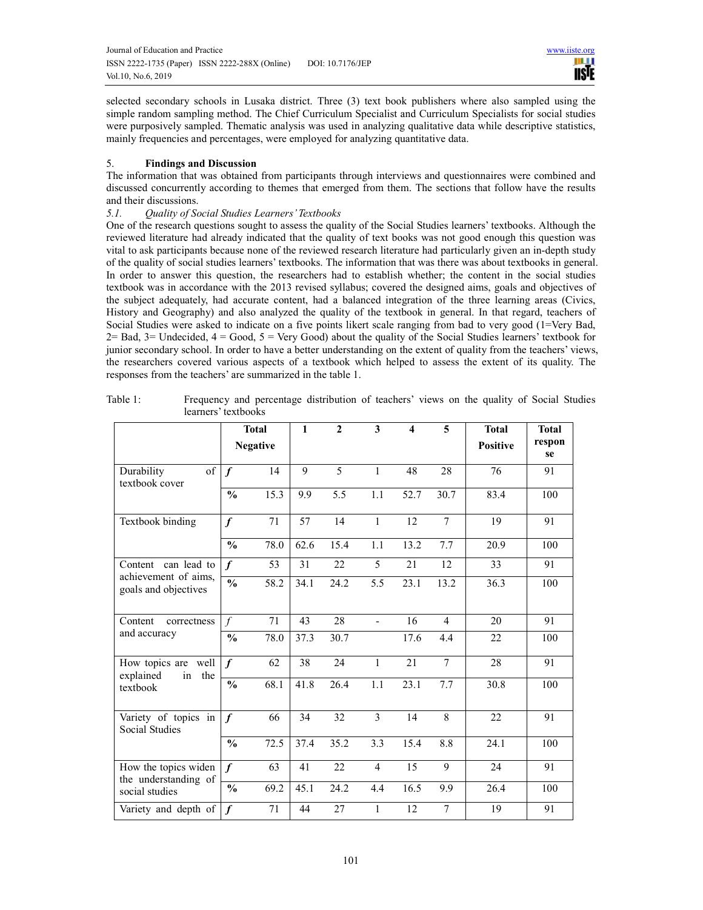selected secondary schools in Lusaka district. Three (3) text book publishers where also sampled using the simple random sampling method. The Chief Curriculum Specialist and Curriculum Specialists for social studies were purposively sampled. Thematic analysis was used in analyzing qualitative data while descriptive statistics, mainly frequencies and percentages, were employed for analyzing quantitative data.

# 5. **Findings and Discussion**

The information that was obtained from participants through interviews and questionnaires were combined and discussed concurrently according to themes that emerged from them. The sections that follow have the results and their discussions.

# *5.1. Quality of Social Studies Learners' Textbooks*

One of the research questions sought to assess the quality of the Social Studies learners' textbooks. Although the reviewed literature had already indicated that the quality of text books was not good enough this question was vital to ask participants because none of the reviewed research literature had particularly given an in-depth study of the quality of social studies learners' textbooks. The information that was there was about textbooks in general. In order to answer this question, the researchers had to establish whether; the content in the social studies textbook was in accordance with the 2013 revised syllabus; covered the designed aims, goals and objectives of the subject adequately, had accurate content, had a balanced integration of the three learning areas (Civics, History and Geography) and also analyzed the quality of the textbook in general. In that regard, teachers of Social Studies were asked to indicate on a five points likert scale ranging from bad to very good (1=Very Bad,  $2=$  Bad,  $3=$  Undecided,  $4 =$  Good,  $5 =$  Very Good) about the quality of the Social Studies learners' textbook for junior secondary school. In order to have a better understanding on the extent of quality from the teachers' views, the researchers covered various aspects of a textbook which helped to assess the extent of its quality. The responses from the teachers' are summarized in the table 1.

|                                                                     | <b>Total</b><br><b>Negative</b> |      | $\mathbf{1}$ | $\mathbf{2}$ | 3              | 4    | 5              | <b>Total</b>    | <b>Total</b> |
|---------------------------------------------------------------------|---------------------------------|------|--------------|--------------|----------------|------|----------------|-----------------|--------------|
|                                                                     |                                 |      |              |              |                |      |                | <b>Positive</b> | respon<br>se |
| of<br>Durability<br>textbook cover                                  | $\boldsymbol{f}$                | 14   | 9            | 5            | $\mathbf{1}$   | 48   | 28             | 76              | 91           |
|                                                                     | $\frac{0}{0}$                   | 15.3 | 9.9          | 5.5          | 1.1            | 52.7 | 30.7           | 83.4            | 100          |
| Textbook binding                                                    | $\boldsymbol{f}$                | 71   | 57           | 14           | $\mathbf{1}$   | 12   | $\overline{7}$ | 19              | 91           |
|                                                                     | $\frac{0}{0}$                   | 78.0 | 62.6         | 15.4         | 1.1            | 13.2 | 7.7            | 20.9            | 100          |
| Content can lead to<br>achievement of aims,<br>goals and objectives | $\boldsymbol{f}$                | 53   | 31           | 22           | 5              | 21   | 12             | 33              | 91           |
|                                                                     | $\overline{\frac{0}{0}}$        | 58.2 | 34.1         | 24.2         | 5.5            | 23.1 | 13.2           | 36.3            | 100          |
| Content<br>correctness<br>and accuracy                              | $\int$                          | 71   | 43           | 28           | $\overline{a}$ | 16   | $\overline{4}$ | 20              | 91           |
|                                                                     | $\frac{0}{0}$                   | 78.0 | 37.3         | 30.7         |                | 17.6 | 4.4            | 22              | 100          |
| How topics are well<br>explained<br>in<br>the<br>textbook           | $\boldsymbol{f}$                | 62   | 38           | 24           | $\mathbf{1}$   | 21   | $\overline{7}$ | 28              | 91           |
|                                                                     | $\frac{0}{0}$                   | 68.1 | 41.8         | 26.4         | 1.1            | 23.1 | 7.7            | 30.8            | 100          |
| Variety of topics in<br>Social Studies                              | $\boldsymbol{f}$                | 66   | 34           | 32           | $\overline{3}$ | 14   | $\overline{8}$ | 22              | 91           |
|                                                                     | $\frac{0}{0}$                   | 72.5 | 37.4         | 35.2         | 3.3            | 15.4 | 8.8            | 24.1            | 100          |
| How the topics widen<br>the understanding of<br>social studies      | $\boldsymbol{f}$                | 63   | 41           | 22           | $\overline{4}$ | 15   | 9              | 24              | 91           |
|                                                                     | $\frac{0}{0}$                   | 69.2 | 45.1         | 24.2         | 4.4            | 16.5 | 9.9            | 26.4            | 100          |
| Variety and depth of                                                | $\boldsymbol{f}$                | 71   | 44           | 27           | 1              | 12   | 7              | 19              | 91           |

Table 1: Frequency and percentage distribution of teachers' views on the quality of Social Studies learners' textbooks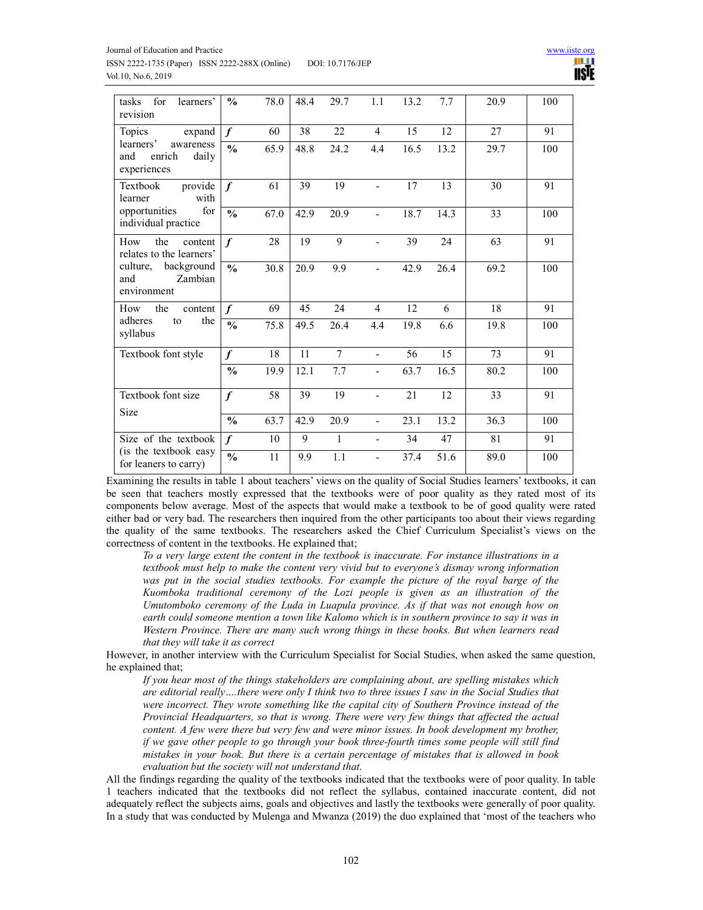

| for<br>tasks<br>learners'<br>revision                                                                        | $\frac{0}{0}$    | 78.0 | 48.4 | 29.7   | 1.1            | 13.2 | 7.7  | 20.9 | 100 |
|--------------------------------------------------------------------------------------------------------------|------------------|------|------|--------|----------------|------|------|------|-----|
| Topics<br>expand<br>learners'<br>awareness<br>and<br>enrich<br>daily<br>experiences                          | $\boldsymbol{f}$ | 60   | 38   | 22     | $\overline{4}$ | 15   | 12   | 27   | 91  |
|                                                                                                              | $\frac{0}{0}$    | 65.9 | 48.8 | 24.2   | 4.4            | 16.5 | 13.2 | 29.7 | 100 |
| provide<br>Textbook<br>with<br>learner<br>for<br>opportunities<br>individual practice                        | $\boldsymbol{f}$ | 61   | 39   | 19     | $\overline{a}$ | 17   | 13   | 30   | 91  |
|                                                                                                              | $\frac{0}{0}$    | 67.0 | 42.9 | 20.9   | $\overline{a}$ | 18.7 | 14.3 | 33   | 100 |
| How<br>the<br>content<br>relates to the learners'<br>background<br>culture,<br>Zambian<br>and<br>environment | $\boldsymbol{f}$ | 28   | 19   | 9      |                | 39   | 24   | 63   | 91  |
|                                                                                                              | $\frac{0}{0}$    | 30.8 | 20.9 | 9.9    |                | 42.9 | 26.4 | 69.2 | 100 |
| How<br>the<br>content<br>the<br>adheres<br>to<br>syllabus                                                    | $\boldsymbol{f}$ | 69   | 45   | 24     | $\overline{4}$ | 12   | 6    | 18   | 91  |
|                                                                                                              | $\frac{0}{0}$    | 75.8 | 49.5 | 26.4   | 4.4            | 19.8 | 6.6  | 19.8 | 100 |
| Textbook font style                                                                                          | $\boldsymbol{f}$ | 18   | 11   | $\tau$ | $\overline{a}$ | 56   | 15   | 73   | 91  |
|                                                                                                              | $\frac{0}{0}$    | 19.9 | 12.1 | 7.7    |                | 63.7 | 16.5 | 80.2 | 100 |
| Textbook font size<br>Size                                                                                   | $\boldsymbol{f}$ | 58   | 39   | 19     | $\overline{a}$ | 21   | 12   | 33   | 91  |
|                                                                                                              | $\frac{0}{0}$    | 63.7 | 42.9 | 20.9   | $\overline{a}$ | 23.1 | 13.2 | 36.3 | 100 |
| Size of the textbook<br>(is the textbook easy<br>for leaners to carry)                                       | f                | 10   | 9    | 1      | $\blacksquare$ | 34   | 47   | 81   | 91  |
|                                                                                                              | $\frac{1}{2}$    | 11   | 9.9  | 1.1    |                | 37.4 | 51.6 | 89.0 | 100 |

Examining the results in table 1 about teachers' views on the quality of Social Studies learners' textbooks, it can be seen that teachers mostly expressed that the textbooks were of poor quality as they rated most of its components below average. Most of the aspects that would make a textbook to be of good quality were rated either bad or very bad. The researchers then inquired from the other participants too about their views regarding the quality of the same textbooks. The researchers asked the Chief Curriculum Specialist's views on the correctness of content in the textbooks. He explained that;

*To a very large extent the content in the textbook is inaccurate. For instance illustrations in a textbook must help to make the content very vivid but to everyone's dismay wrong information*  was put in the social studies textbooks. For example the picture of the royal barge of the *Kuomboka traditional ceremony of the Lozi people is given as an illustration of the Umutomboko ceremony of the Luda in Luapula province. As if that was not enough how on earth could someone mention a town like Kalomo which is in southern province to say it was in Western Province. There are many such wrong things in these books. But when learners read that they will take it as correct*

However, in another interview with the Curriculum Specialist for Social Studies, when asked the same question, he explained that;

*If you hear most of the things stakeholders are complaining about, are spelling mistakes which are editorial really….there were only I think two to three issues I saw in the Social Studies that were incorrect. They wrote something like the capital city of Southern Province instead of the Provincial Headquarters, so that is wrong. There were very few things that affected the actual content. A few were there but very few and were minor issues. In book development my brother, if we gave other people to go through your book three-fourth times some people will still find mistakes in your book. But there is a certain percentage of mistakes that is allowed in book evaluation but the society will not understand that*.

All the findings regarding the quality of the textbooks indicated that the textbooks were of poor quality. In table 1 teachers indicated that the textbooks did not reflect the syllabus, contained inaccurate content, did not adequately reflect the subjects aims, goals and objectives and lastly the textbooks were generally of poor quality. In a study that was conducted by Mulenga and Mwanza (2019) the duo explained that 'most of the teachers who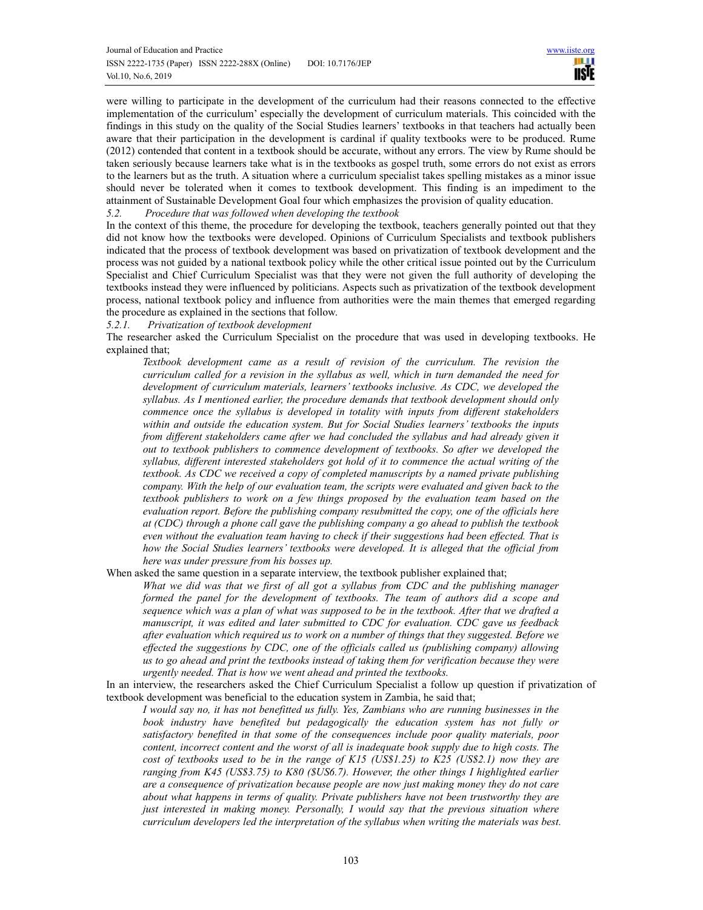were willing to participate in the development of the curriculum had their reasons connected to the effective implementation of the curriculum' especially the development of curriculum materials. This coincided with the findings in this study on the quality of the Social Studies learners' textbooks in that teachers had actually been aware that their participation in the development is cardinal if quality textbooks were to be produced. Rume (2012) contended that content in a textbook should be accurate, without any errors. The view by Rume should be taken seriously because learners take what is in the textbooks as gospel truth, some errors do not exist as errors to the learners but as the truth. A situation where a curriculum specialist takes spelling mistakes as a minor issue should never be tolerated when it comes to textbook development. This finding is an impediment to the attainment of Sustainable Development Goal four which emphasizes the provision of quality education.

*5.2. Procedure that was followed when developing the textbook* 

In the context of this theme, the procedure for developing the textbook, teachers generally pointed out that they did not know how the textbooks were developed. Opinions of Curriculum Specialists and textbook publishers indicated that the process of textbook development was based on privatization of textbook development and the process was not guided by a national textbook policy while the other critical issue pointed out by the Curriculum Specialist and Chief Curriculum Specialist was that they were not given the full authority of developing the textbooks instead they were influenced by politicians. Aspects such as privatization of the textbook development process, national textbook policy and influence from authorities were the main themes that emerged regarding the procedure as explained in the sections that follow.

*5.2.1. Privatization of textbook development* 

The researcher asked the Curriculum Specialist on the procedure that was used in developing textbooks. He explained that;

*Textbook development came as a result of revision of the curriculum. The revision the curriculum called for a revision in the syllabus as well, which in turn demanded the need for development of curriculum materials, learners' textbooks inclusive. As CDC, we developed the syllabus. As I mentioned earlier, the procedure demands that textbook development should only commence once the syllabus is developed in totality with inputs from different stakeholders within and outside the education system. But for Social Studies learners' textbooks the inputs from different stakeholders came after we had concluded the syllabus and had already given it out to textbook publishers to commence development of textbooks. So after we developed the syllabus, different interested stakeholders got hold of it to commence the actual writing of the textbook. As CDC we received a copy of completed manuscripts by a named private publishing company. With the help of our evaluation team, the scripts were evaluated and given back to the*  textbook publishers to work on a few things proposed by the evaluation team based on the *evaluation report. Before the publishing company resubmitted the copy, one of the officials here at (CDC) through a phone call gave the publishing company a go ahead to publish the textbook even without the evaluation team having to check if their suggestions had been effected. That is how the Social Studies learners' textbooks were developed. It is alleged that the official from here was under pressure from his bosses up.* 

When asked the same question in a separate interview, the textbook publisher explained that;

*What we did was that we first of all got a syllabus from CDC and the publishing manager formed the panel for the development of textbooks. The team of authors did a scope and sequence which was a plan of what was supposed to be in the textbook. After that we drafted a manuscript, it was edited and later submitted to CDC for evaluation. CDC gave us feedback after evaluation which required us to work on a number of things that they suggested. Before we effected the suggestions by CDC, one of the officials called us (publishing company) allowing us to go ahead and print the textbooks instead of taking them for verification because they were urgently needed. That is how we went ahead and printed the textbooks.* 

In an interview, the researchers asked the Chief Curriculum Specialist a follow up question if privatization of textbook development was beneficial to the education system in Zambia, he said that;

*I would say no, it has not benefitted us fully. Yes, Zambians who are running businesses in the book industry have benefited but pedagogically the education system has not fully or satisfactory benefited in that some of the consequences include poor quality materials, poor content, incorrect content and the worst of all is inadequate book supply due to high costs. The cost of textbooks used to be in the range of K15 (US\$1.25) to K25 (US\$2.1) now they are ranging from K45 (US\$3.75) to K80 (\$US6.7). However, the other things I highlighted earlier are a consequence of privatization because people are now just making money they do not care about what happens in terms of quality. Private publishers have not been trustworthy they are just interested in making money. Personally, I would say that the previous situation where curriculum developers led the interpretation of the syllabus when writing the materials was best.*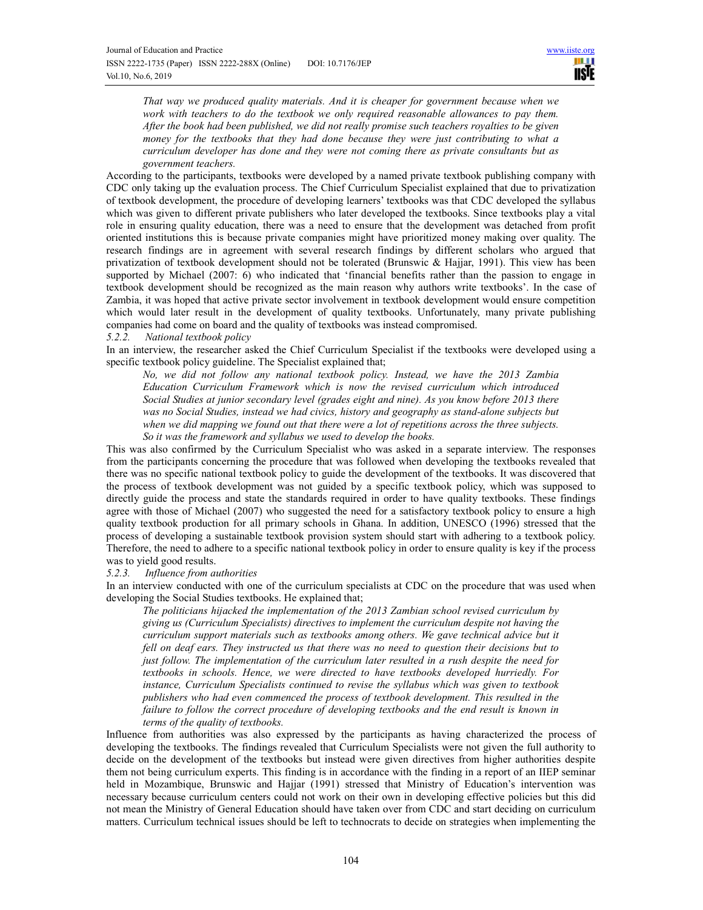*That way we produced quality materials. And it is cheaper for government because when we work with teachers to do the textbook we only required reasonable allowances to pay them. After the book had been published, we did not really promise such teachers royalties to be given money for the textbooks that they had done because they were just contributing to what a curriculum developer has done and they were not coming there as private consultants but as government teachers.*

According to the participants, textbooks were developed by a named private textbook publishing company with CDC only taking up the evaluation process. The Chief Curriculum Specialist explained that due to privatization of textbook development, the procedure of developing learners' textbooks was that CDC developed the syllabus which was given to different private publishers who later developed the textbooks. Since textbooks play a vital role in ensuring quality education, there was a need to ensure that the development was detached from profit oriented institutions this is because private companies might have prioritized money making over quality. The research findings are in agreement with several research findings by different scholars who argued that privatization of textbook development should not be tolerated (Brunswic & Hajjar, 1991). This view has been supported by Michael (2007: 6) who indicated that 'financial benefits rather than the passion to engage in textbook development should be recognized as the main reason why authors write textbooks'. In the case of Zambia, it was hoped that active private sector involvement in textbook development would ensure competition which would later result in the development of quality textbooks. Unfortunately, many private publishing companies had come on board and the quality of textbooks was instead compromised.

# *5.2.2. National textbook policy*

In an interview, the researcher asked the Chief Curriculum Specialist if the textbooks were developed using a specific textbook policy guideline. The Specialist explained that;

*No, we did not follow any national textbook policy. Instead, we have the 2013 Zambia Education Curriculum Framework which is now the revised curriculum which introduced Social Studies at junior secondary level (grades eight and nine). As you know before 2013 there was no Social Studies, instead we had civics, history and geography as stand-alone subjects but when we did mapping we found out that there were a lot of repetitions across the three subjects. So it was the framework and syllabus we used to develop the books.* 

This was also confirmed by the Curriculum Specialist who was asked in a separate interview. The responses from the participants concerning the procedure that was followed when developing the textbooks revealed that there was no specific national textbook policy to guide the development of the textbooks. It was discovered that the process of textbook development was not guided by a specific textbook policy, which was supposed to directly guide the process and state the standards required in order to have quality textbooks. These findings agree with those of Michael (2007) who suggested the need for a satisfactory textbook policy to ensure a high quality textbook production for all primary schools in Ghana. In addition, UNESCO (1996) stressed that the process of developing a sustainable textbook provision system should start with adhering to a textbook policy. Therefore, the need to adhere to a specific national textbook policy in order to ensure quality is key if the process was to yield good results.

#### *5.2.3. Influence from authorities*

In an interview conducted with one of the curriculum specialists at CDC on the procedure that was used when developing the Social Studies textbooks. He explained that;

*The politicians hijacked the implementation of the 2013 Zambian school revised curriculum by giving us (Curriculum Specialists) directives to implement the curriculum despite not having the curriculum support materials such as textbooks among others. We gave technical advice but it fell on deaf ears. They instructed us that there was no need to question their decisions but to just follow. The implementation of the curriculum later resulted in a rush despite the need for textbooks in schools. Hence, we were directed to have textbooks developed hurriedly. For instance, Curriculum Specialists continued to revise the syllabus which was given to textbook publishers who had even commenced the process of textbook development. This resulted in the failure to follow the correct procedure of developing textbooks and the end result is known in terms of the quality of textbooks.* 

Influence from authorities was also expressed by the participants as having characterized the process of developing the textbooks. The findings revealed that Curriculum Specialists were not given the full authority to decide on the development of the textbooks but instead were given directives from higher authorities despite them not being curriculum experts. This finding is in accordance with the finding in a report of an IIEP seminar held in Mozambique, Brunswic and Hajjar (1991) stressed that Ministry of Education's intervention was necessary because curriculum centers could not work on their own in developing effective policies but this did not mean the Ministry of General Education should have taken over from CDC and start deciding on curriculum matters. Curriculum technical issues should be left to technocrats to decide on strategies when implementing the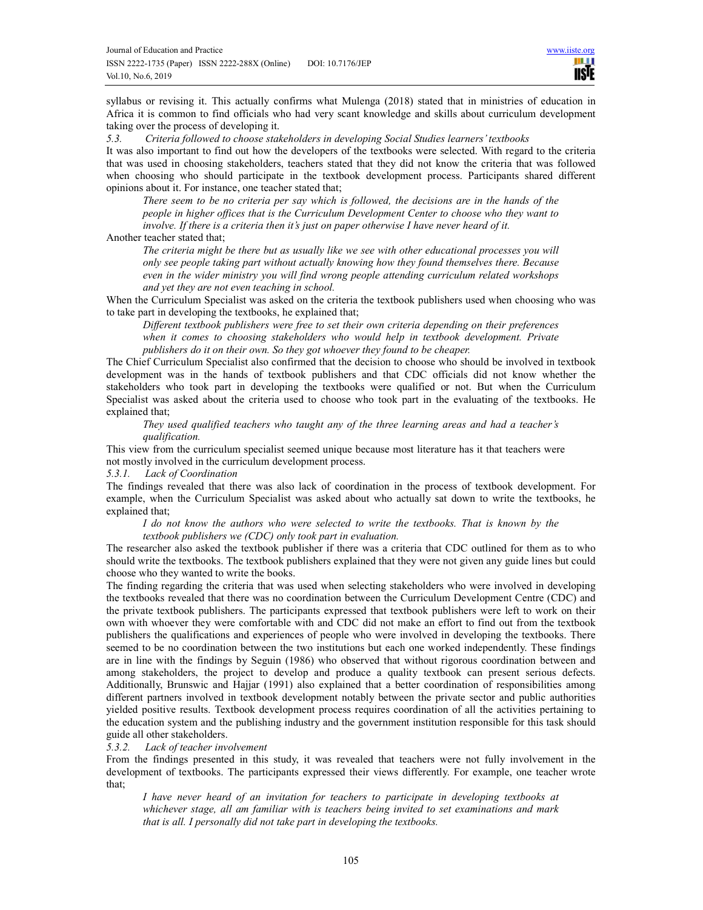syllabus or revising it. This actually confirms what Mulenga (2018) stated that in ministries of education in Africa it is common to find officials who had very scant knowledge and skills about curriculum development taking over the process of developing it.

*5.3. Criteria followed to choose stakeholders in developing Social Studies learners' textbooks* 

It was also important to find out how the developers of the textbooks were selected. With regard to the criteria that was used in choosing stakeholders, teachers stated that they did not know the criteria that was followed when choosing who should participate in the textbook development process. Participants shared different opinions about it. For instance, one teacher stated that;

*There seem to be no criteria per say which is followed, the decisions are in the hands of the people in higher offices that is the Curriculum Development Center to choose who they want to involve. If there is a criteria then it's just on paper otherwise I have never heard of it.* 

# Another teacher stated that;

*The criteria might be there but as usually like we see with other educational processes you will only see people taking part without actually knowing how they found themselves there. Because even in the wider ministry you will find wrong people attending curriculum related workshops and yet they are not even teaching in school.* 

When the Curriculum Specialist was asked on the criteria the textbook publishers used when choosing who was to take part in developing the textbooks, he explained that;

*Different textbook publishers were free to set their own criteria depending on their preferences when it comes to choosing stakeholders who would help in textbook development. Private publishers do it on their own. So they got whoever they found to be cheaper.*

The Chief Curriculum Specialist also confirmed that the decision to choose who should be involved in textbook development was in the hands of textbook publishers and that CDC officials did not know whether the stakeholders who took part in developing the textbooks were qualified or not. But when the Curriculum Specialist was asked about the criteria used to choose who took part in the evaluating of the textbooks. He explained that;

*They used qualified teachers who taught any of the three learning areas and had a teacher's qualification.* 

This view from the curriculum specialist seemed unique because most literature has it that teachers were not mostly involved in the curriculum development process.

# *5.3.1. Lack of Coordination*

The findings revealed that there was also lack of coordination in the process of textbook development. For example, when the Curriculum Specialist was asked about who actually sat down to write the textbooks, he explained that;

#### *I do not know the authors who were selected to write the textbooks. That is known by the textbook publishers we (CDC) only took part in evaluation.*

The researcher also asked the textbook publisher if there was a criteria that CDC outlined for them as to who should write the textbooks. The textbook publishers explained that they were not given any guide lines but could choose who they wanted to write the books.

The finding regarding the criteria that was used when selecting stakeholders who were involved in developing the textbooks revealed that there was no coordination between the Curriculum Development Centre (CDC) and the private textbook publishers. The participants expressed that textbook publishers were left to work on their own with whoever they were comfortable with and CDC did not make an effort to find out from the textbook publishers the qualifications and experiences of people who were involved in developing the textbooks. There seemed to be no coordination between the two institutions but each one worked independently. These findings are in line with the findings by Seguin (1986) who observed that without rigorous coordination between and among stakeholders, the project to develop and produce a quality textbook can present serious defects. Additionally, Brunswic and Hajjar (1991) also explained that a better coordination of responsibilities among different partners involved in textbook development notably between the private sector and public authorities yielded positive results. Textbook development process requires coordination of all the activities pertaining to the education system and the publishing industry and the government institution responsible for this task should guide all other stakeholders.

# *5.3.2. Lack of teacher involvement*

From the findings presented in this study, it was revealed that teachers were not fully involvement in the development of textbooks. The participants expressed their views differently. For example, one teacher wrote that;

*I have never heard of an invitation for teachers to participate in developing textbooks at whichever stage, all am familiar with is teachers being invited to set examinations and mark that is all. I personally did not take part in developing the textbooks.*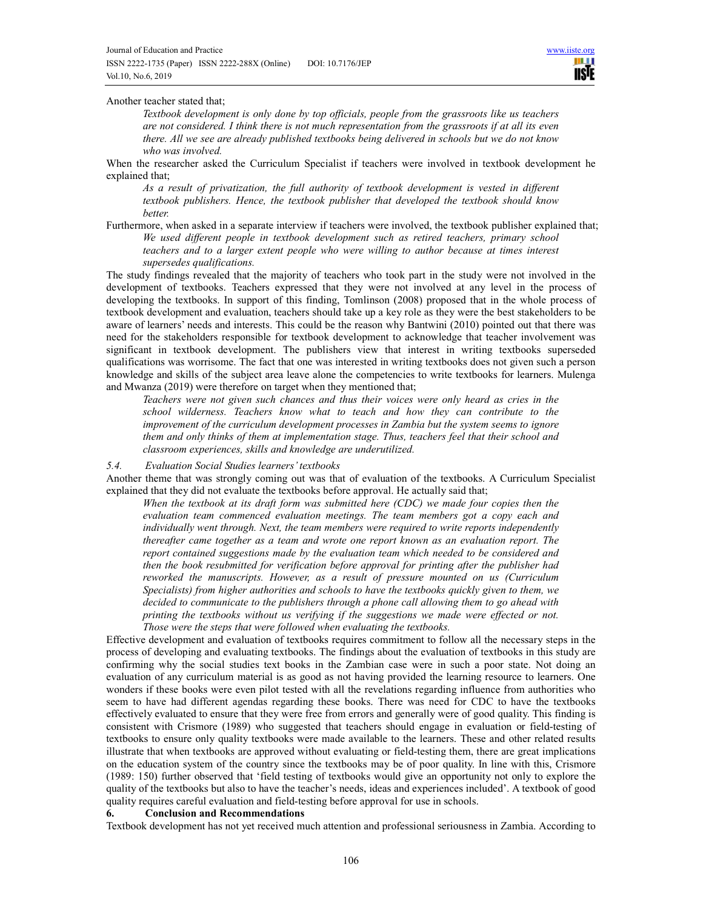## Another teacher stated that;

*Textbook development is only done by top officials, people from the grassroots like us teachers are not considered. I think there is not much representation from the grassroots if at all its even there. All we see are already published textbooks being delivered in schools but we do not know who was involved.* 

When the researcher asked the Curriculum Specialist if teachers were involved in textbook development he explained that;

*As a result of privatization, the full authority of textbook development is vested in different textbook publishers. Hence, the textbook publisher that developed the textbook should know better.* 

Furthermore, when asked in a separate interview if teachers were involved, the textbook publisher explained that; *We used different people in textbook development such as retired teachers, primary school teachers and to a larger extent people who were willing to author because at times interest supersedes qualifications.* 

The study findings revealed that the majority of teachers who took part in the study were not involved in the development of textbooks. Teachers expressed that they were not involved at any level in the process of developing the textbooks. In support of this finding, Tomlinson (2008) proposed that in the whole process of textbook development and evaluation, teachers should take up a key role as they were the best stakeholders to be aware of learners' needs and interests. This could be the reason why Bantwini (2010) pointed out that there was need for the stakeholders responsible for textbook development to acknowledge that teacher involvement was significant in textbook development. The publishers view that interest in writing textbooks superseded qualifications was worrisome. The fact that one was interested in writing textbooks does not given such a person knowledge and skills of the subject area leave alone the competencies to write textbooks for learners. Mulenga and Mwanza (2019) were therefore on target when they mentioned that;

*Teachers were not given such chances and thus their voices were only heard as cries in the school wilderness. Teachers know what to teach and how they can contribute to the improvement of the curriculum development processes in Zambia but the system seems to ignore them and only thinks of them at implementation stage. Thus, teachers feel that their school and classroom experiences, skills and knowledge are underutilized.* 

#### *5.4. Evaluation Social Studies learners' textbooks*

Another theme that was strongly coming out was that of evaluation of the textbooks. A Curriculum Specialist explained that they did not evaluate the textbooks before approval. He actually said that;

*When the textbook at its draft form was submitted here (CDC) we made four copies then the evaluation team commenced evaluation meetings. The team members got a copy each and individually went through. Next, the team members were required to write reports independently thereafter came together as a team and wrote one report known as an evaluation report. The report contained suggestions made by the evaluation team which needed to be considered and then the book resubmitted for verification before approval for printing after the publisher had reworked the manuscripts. However, as a result of pressure mounted on us (Curriculum Specialists) from higher authorities and schools to have the textbooks quickly given to them, we*  decided to communicate to the publishers through a phone call allowing them to go ahead with *printing the textbooks without us verifying if the suggestions we made were effected or not. Those were the steps that were followed when evaluating the textbooks.* 

Effective development and evaluation of textbooks requires commitment to follow all the necessary steps in the process of developing and evaluating textbooks. The findings about the evaluation of textbooks in this study are confirming why the social studies text books in the Zambian case were in such a poor state. Not doing an evaluation of any curriculum material is as good as not having provided the learning resource to learners. One wonders if these books were even pilot tested with all the revelations regarding influence from authorities who seem to have had different agendas regarding these books. There was need for CDC to have the textbooks effectively evaluated to ensure that they were free from errors and generally were of good quality. This finding is consistent with Crismore (1989) who suggested that teachers should engage in evaluation or field-testing of textbooks to ensure only quality textbooks were made available to the learners. These and other related results illustrate that when textbooks are approved without evaluating or field-testing them, there are great implications on the education system of the country since the textbooks may be of poor quality. In line with this, Crismore (1989: 150) further observed that 'field testing of textbooks would give an opportunity not only to explore the quality of the textbooks but also to have the teacher's needs, ideas and experiences included'. A textbook of good quality requires careful evaluation and field-testing before approval for use in schools.

# **6. Conclusion and Recommendations**

Textbook development has not yet received much attention and professional seriousness in Zambia. According to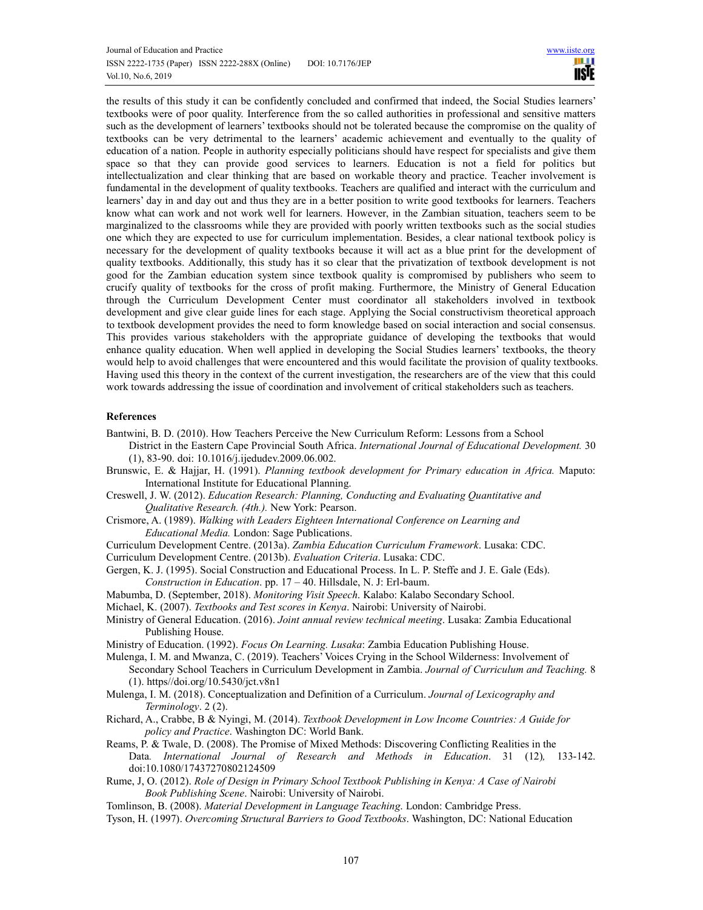the results of this study it can be confidently concluded and confirmed that indeed, the Social Studies learners' textbooks were of poor quality. Interference from the so called authorities in professional and sensitive matters such as the development of learners' textbooks should not be tolerated because the compromise on the quality of textbooks can be very detrimental to the learners' academic achievement and eventually to the quality of education of a nation. People in authority especially politicians should have respect for specialists and give them space so that they can provide good services to learners. Education is not a field for politics but intellectualization and clear thinking that are based on workable theory and practice. Teacher involvement is fundamental in the development of quality textbooks. Teachers are qualified and interact with the curriculum and learners' day in and day out and thus they are in a better position to write good textbooks for learners. Teachers know what can work and not work well for learners. However, in the Zambian situation, teachers seem to be marginalized to the classrooms while they are provided with poorly written textbooks such as the social studies one which they are expected to use for curriculum implementation. Besides, a clear national textbook policy is necessary for the development of quality textbooks because it will act as a blue print for the development of quality textbooks. Additionally, this study has it so clear that the privatization of textbook development is not good for the Zambian education system since textbook quality is compromised by publishers who seem to crucify quality of textbooks for the cross of profit making. Furthermore, the Ministry of General Education through the Curriculum Development Center must coordinator all stakeholders involved in textbook development and give clear guide lines for each stage. Applying the Social constructivism theoretical approach to textbook development provides the need to form knowledge based on social interaction and social consensus. This provides various stakeholders with the appropriate guidance of developing the textbooks that would enhance quality education. When well applied in developing the Social Studies learners' textbooks, the theory would help to avoid challenges that were encountered and this would facilitate the provision of quality textbooks. Having used this theory in the context of the current investigation, the researchers are of the view that this could work towards addressing the issue of coordination and involvement of critical stakeholders such as teachers.

# **References**

- Bantwini, B. D. (2010). How Teachers Perceive the New Curriculum Reform: Lessons from a School
- District in the Eastern Cape Provincial South Africa. *International Journal of Educational Development.* 30 (1), 83-90. doi: 10.1016/j.ijedudev.2009.06.002.
- Brunswic, E. & Hajjar, H. (1991). *Planning textbook development for Primary education in Africa.* Maputo: International Institute for Educational Planning.
- Creswell, J. W. (2012). *Education Research: Planning, Conducting and Evaluating Quantitative and Qualitative Research. (4th.).* New York: Pearson.
- Crismore, A. (1989). *Walking with Leaders Eighteen International Conference on Learning and Educational Media.* London: Sage Publications.
- Curriculum Development Centre. (2013a). *Zambia Education Curriculum Framework*. Lusaka: CDC.

Curriculum Development Centre. (2013b). *Evaluation Criteria*. Lusaka: CDC.

- Gergen, K. J. (1995). Social Construction and Educational Process. In L. P. Steffe and J. E. Gale (Eds).
- *Construction in Education*. pp. 17 40. Hillsdale, N. J: Erl-baum.
- Mabumba, D. (September, 2018). *Monitoring Visit Speech*. Kalabo: Kalabo Secondary School.
- Michael, K. (2007). *Textbooks and Test scores in Kenya*. Nairobi: University of Nairobi.
- Ministry of General Education. (2016). *Joint annual review technical meeting*. Lusaka: Zambia Educational Publishing House.
- Ministry of Education. (1992). *Focus On Learning. Lusaka*: Zambia Education Publishing House.
- Mulenga, I. M. and Mwanza, C. (2019). Teachers' Voices Crying in the School Wilderness: Involvement of Secondary School Teachers in Curriculum Development in Zambia. *Journal of Curriculum and Teaching.* 8 (1). https//doi.org/10.5430/jct.v8n1
- Mulenga, I. M. (2018). Conceptualization and Definition of a Curriculum. *Journal of Lexicography and Terminology*. 2 (2).
- Richard, A., Crabbe, B & Nyingi, M. (2014). *Textbook Development in Low Income Countries: A Guide for policy and Practice*. Washington DC: World Bank.
- Reams, P. & Twale, D. (2008). The Promise of Mixed Methods: Discovering Conflicting Realities in the Data*. International Journal of Research and Methods in Education*. 31 (12)*,* 133-142. doi:10.1080/17437270802124509
- Rume, J, O. (2012). *Role of Design in Primary School Textbook Publishing in Kenya: A Case of Nairobi Book Publishing Scene*. Nairobi: University of Nairobi.
- Tomlinson, B. (2008). *Material Development in Language Teaching*. London: Cambridge Press.
- Tyson, H. (1997). *Overcoming Structural Barriers to Good Textbooks*. Washington, DC: National Education